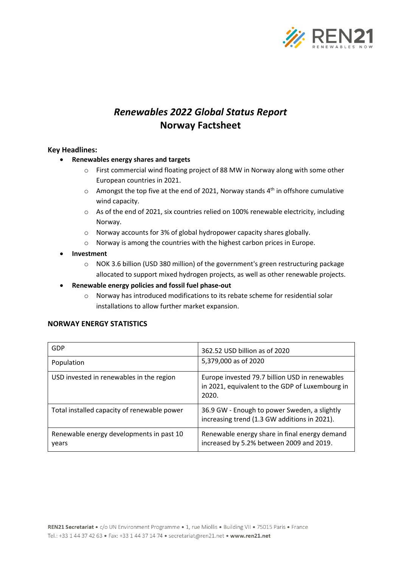

# *Renewables 2022 Global Status Report* **Norway Factsheet**

### **Key Headlines:**

- **Renewables energy shares and targets**
	- o First commercial wind floating project of 88 MW in Norway along with some other European countries in 2021.
	- $\circ$  Amongst the top five at the end of 2021, Norway stands 4<sup>th</sup> in offshore cumulative wind capacity.
	- o As of the end of 2021, six countries relied on 100% renewable electricity, including Norway.
	- o Norway accounts for 3% of global hydropower capacity shares globally.
	- o Norway is among the countries with the highest carbon prices in Europe.
- **Investment**
	- o NOK 3.6 billion (USD 380 million) of the government's green restructuring package allocated to support mixed hydrogen projects, as well as other renewable projects.
- **Renewable energy policies and fossil fuel phase-out**
	- o Norway has introduced modifications to its rebate scheme for residential solar installations to allow further market expansion.

#### **NORWAY ENERGY STATISTICS**

| GDP                                               | 362.52 USD billion as of 2020                                                                              |
|---------------------------------------------------|------------------------------------------------------------------------------------------------------------|
| Population                                        | 5,379,000 as of 2020                                                                                       |
| USD invested in renewables in the region          | Europe invested 79.7 billion USD in renewables<br>in 2021, equivalent to the GDP of Luxembourg in<br>2020. |
| Total installed capacity of renewable power       | 36.9 GW - Enough to power Sweden, a slightly<br>increasing trend (1.3 GW additions in 2021).               |
| Renewable energy developments in past 10<br>years | Renewable energy share in final energy demand<br>increased by 5.2% between 2009 and 2019.                  |